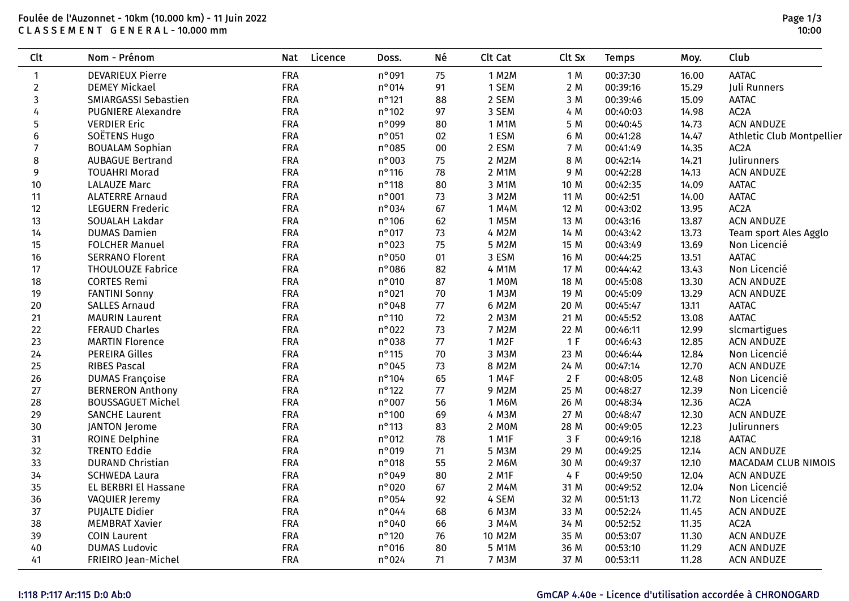## Foulée de l'Auzonnet - 10km (10.000 km) - 11 Juin 2022 C L A S S E M E N T G E N E R A L - 10.000 mm

| <b>Clt</b>     | Nom - Prénom              | Licence<br><b>Nat</b> | Doss.           | Né     | Clt Cat            | Clt Sx | <b>Temps</b> | Moy.  | Club                      |
|----------------|---------------------------|-----------------------|-----------------|--------|--------------------|--------|--------------|-------|---------------------------|
| $\mathbf{1}$   | <b>DEVARIEUX Pierre</b>   | <b>FRA</b>            | n°091           | 75     | 1 M2M              | 1 M    | 00:37:30     | 16.00 | <b>AATAC</b>              |
| $\overline{2}$ | <b>DEMEY Mickael</b>      | <b>FRA</b>            | n°014           | 91     | 1 SEM              | 2 M    | 00:39:16     | 15.29 | Juli Runners              |
| $\mathbf{3}$   | SMIARGASSI Sebastien      | <b>FRA</b>            | $n^{\circ}$ 121 | 88     | 2 SEM              | 3 M    | 00:39:46     | 15.09 | <b>AATAC</b>              |
| 4              | <b>PUGNIERE Alexandre</b> | <b>FRA</b>            | $n^{\circ}$ 102 | 97     | 3 SEM              | 4 M    | 00:40:03     | 14.98 | AC <sub>2</sub> A         |
| 5              | <b>VERDIER Eric</b>       | <b>FRA</b>            | n°099           | 80     | 1 M1M              | 5 M    | 00:40:45     | 14.73 | <b>ACN ANDUZE</b>         |
| 6              | SOËTENS Hugo              | <b>FRA</b>            | $n^{\circ}$ 051 | 02     | 1 ESM              | 6 M    | 00:41:28     | 14.47 | Athletic Club Montpellier |
| $\overline{7}$ | <b>BOUALAM Sophian</b>    | <b>FRA</b>            | $n^{\circ}085$  | $00\,$ | 2 ESM              | 7 M    | 00:41:49     | 14.35 | AC <sub>2</sub> A         |
| 8              | <b>AUBAGUE Bertrand</b>   | <b>FRA</b>            | $n°$ 003        | 75     | 2 M2M              | 8 M    | 00:42:14     | 14.21 | Julirunners               |
| 9              | <b>TOUAHRI Morad</b>      | <b>FRA</b>            | $n^{\circ}$ 116 | 78     | 2 M1M              | 9 M    | 00:42:28     | 14.13 | <b>ACN ANDUZE</b>         |
| $10$           | <b>LALAUZE Marc</b>       | <b>FRA</b>            | $n^{\circ}$ 118 | 80     | 3 M1M              | 10 M   | 00:42:35     | 14.09 | <b>AATAC</b>              |
| 11             | <b>ALATERRE Arnaud</b>    | <b>FRA</b>            | $n^{\circ}$ 001 | 73     | 3 M2M              | 11 M   | 00:42:51     | 14.00 | <b>AATAC</b>              |
| 12             | <b>LEGUERN Frederic</b>   | <b>FRA</b>            | $n^{\circ}$ 034 | 67     | 1 M4M              | 12 M   | 00:43:02     | 13.95 | AC <sub>2</sub> A         |
| 13             | SOUALAH Lakdar            | <b>FRA</b>            | $n^{\circ}$ 106 | 62     | 1 M5M              | 13 M   | 00:43:16     | 13.87 | <b>ACN ANDUZE</b>         |
| 14             | <b>DUMAS Damien</b>       | <b>FRA</b>            | $n^{\circ}$ 017 | 73     | 4 M2M              | 14 M   | 00:43:42     | 13.73 | Team sport Ales Agglo     |
| 15             | <b>FOLCHER Manuel</b>     | <b>FRA</b>            | $n^{\circ}$ 023 | 75     | 5 M2M              | 15 M   | 00:43:49     | 13.69 | Non Licencié              |
| 16             | <b>SERRANO Florent</b>    | <b>FRA</b>            | $n^{\circ}$ 050 | 01     | 3 ESM              | 16 M   | 00:44:25     | 13.51 | <b>AATAC</b>              |
| 17             | <b>THOULOUZE Fabrice</b>  | <b>FRA</b>            | $n^{\circ}086$  | 82     | 4 M1M              | 17 M   | 00:44:42     | 13.43 | Non Licencié              |
| 18             | <b>CORTES Remi</b>        | <b>FRA</b>            | $n^{\circ}$ 010 | 87     | 1 MOM              | 18 M   | 00:45:08     | 13.30 | <b>ACN ANDUZE</b>         |
| 19             | <b>FANTINI Sonny</b>      | <b>FRA</b>            | $n^{\circ}021$  | $70\,$ | 1 M3M              | 19 M   | 00:45:09     | 13.29 | <b>ACN ANDUZE</b>         |
| 20             | <b>SALLES Arnaud</b>      | <b>FRA</b>            | n°048           | $77\,$ | 6 M2M              | 20 M   | 00:45:47     | 13.11 | <b>AATAC</b>              |
| 21             | <b>MAURIN Laurent</b>     | <b>FRA</b>            | $n^{\circ}$ 110 | 72     | 2 M3M              | 21 M   | 00:45:52     | 13.08 | <b>AATAC</b>              |
| 22             | <b>FERAUD Charles</b>     | <b>FRA</b>            | $n°$ 022        | $73$   | 7 M2M              | 22 M   | 00:46:11     | 12.99 | slcmartigues              |
| 23             | <b>MARTIN Florence</b>    | <b>FRA</b>            | $n°$ 038        | 77     | 1 M <sub>2</sub> F | 1 F    | 00:46:43     | 12.85 | <b>ACN ANDUZE</b>         |
| 24             | <b>PEREIRA Gilles</b>     | <b>FRA</b>            | $n^{\circ}$ 115 | $70\,$ | 3 M3M              | 23 M   | 00:46:44     | 12.84 | Non Licencié              |
| 25             | <b>RIBES Pascal</b>       | <b>FRA</b>            | n°045           | 73     | 8 M2M              | 24 M   | 00:47:14     | 12.70 | <b>ACN ANDUZE</b>         |
| 26             | <b>DUMAS Françoise</b>    | <b>FRA</b>            | $n^{\circ}$ 104 | 65     | 1 M4F              | 2 F    | 00:48:05     | 12.48 | Non Licencié              |
| 27             | <b>BERNERON Anthony</b>   | <b>FRA</b>            | $n^{\circ}$ 122 | $77\,$ | 9 M2M              | 25 M   | 00:48:27     | 12.39 | Non Licencié              |
| 28             | <b>BOUSSAGUET Michel</b>  | <b>FRA</b>            | $n^{\circ}$ 007 | 56     | 1 M6M              | 26 M   | 00:48:34     | 12.36 | AC <sub>2</sub> A         |
| 29             | <b>SANCHE Laurent</b>     | <b>FRA</b>            | $n^{\circ}$ 100 | 69     | 4 M3M              | 27 M   | 00:48:47     | 12.30 | <b>ACN ANDUZE</b>         |
| 30             | <b>JANTON Jerome</b>      | <b>FRA</b>            | $n^{\circ}$ 113 | 83     | 2 MOM              | 28 M   | 00:49:05     | 12.23 | Julirunners               |
| 31             | <b>ROINE Delphine</b>     | <b>FRA</b>            | $n^{\circ}$ 012 | 78     | 1 M1F              | 3F     | 00:49:16     | 12.18 | <b>AATAC</b>              |
| 32             | <b>TRENTO Eddie</b>       | <b>FRA</b>            | $n°$ 019        | 71     | 5 M3M              | 29 M   | 00:49:25     | 12.14 | <b>ACN ANDUZE</b>         |
| 33             | <b>DURAND Christian</b>   | <b>FRA</b>            | $n^{\circ}$ 018 | 55     | 2 M6M              | 30 M   | 00:49:37     | 12.10 | MACADAM CLUB NIMOIS       |
| 34             | <b>SCHWEDA Laura</b>      | <b>FRA</b>            | n°049           | 80     | 2 M1F              | 4 F    | 00:49:50     | 12.04 | <b>ACN ANDUZE</b>         |
| 35             | EL BERBRI El Hassane      | <b>FRA</b>            | $n°$ 020        | 67     | 2 M4M              | 31 M   | 00:49:52     | 12.04 | Non Licencié              |
| 36             | VAQUIER Jeremy            | <b>FRA</b>            | $n^{\circ}$ 054 | 92     | 4 SEM              | 32 M   | 00:51:13     | 11.72 | Non Licencié              |
| 37             | <b>PUJALTE Didier</b>     | <b>FRA</b>            | $n^{\circ}$ 044 | 68     | 6 M3M              | 33 M   | 00:52:24     | 11.45 | <b>ACN ANDUZE</b>         |
| 38             | <b>MEMBRAT Xavier</b>     | <b>FRA</b>            | $n^{\circ}040$  | 66     | 3 M4M              | 34 M   | 00:52:52     | 11.35 | AC <sub>2</sub> A         |
| 39             | <b>COIN Laurent</b>       | <b>FRA</b>            | $n^{\circ}$ 120 | 76     | 10 M2M             | 35 M   | 00:53:07     | 11.30 | <b>ACN ANDUZE</b>         |
| 40             | <b>DUMAS Ludovic</b>      | <b>FRA</b>            | $n°$ 016        | 80     | 5 M1M              | 36 M   | 00:53:10     | 11.29 | <b>ACN ANDUZE</b>         |
| 41             | FRIEIRO Jean-Michel       | <b>FRA</b>            | $n^{\circ}024$  | 71     | 7 M3M              | 37 M   | 00:53:11     | 11.28 | <b>ACN ANDUZE</b>         |

# I:118 P:117 Ar:115 D:0 Ab:0 GmCAP 4.40e - Licence d'utilisation accordée à CHRONOGARD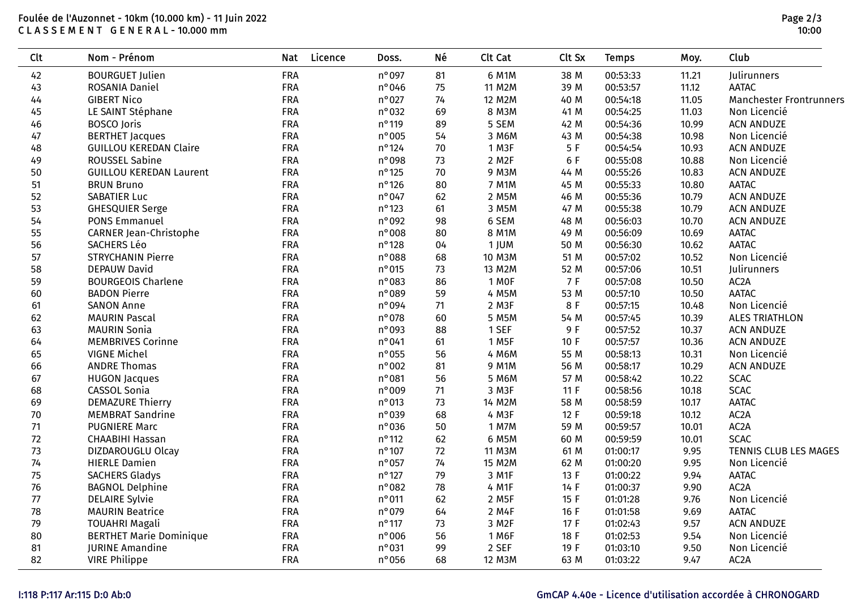### Foulée de l'Auzonnet - 10km (10.000 km) - 11 Juin 2022 C L A S S E M E N T G E N E R A L - 10.000 mm

| <b>Clt</b> | Nom - Prénom                   | <b>Nat</b> | Licence<br>Doss. | Né     | Clt Cat              | Clt Sx | <b>Temps</b> | Moy.  | Club                           |
|------------|--------------------------------|------------|------------------|--------|----------------------|--------|--------------|-------|--------------------------------|
| 42         | <b>BOURGUET Julien</b>         | <b>FRA</b> | n°097            | 81     | 6 M1M                | 38 M   | 00:53:33     | 11.21 | Julirunners                    |
| 43         | ROSANIA Daniel                 | <b>FRA</b> | n°046            | 75     | 11 M2M               | 39 M   | 00:53:57     | 11.12 | <b>AATAC</b>                   |
| 44         | <b>GIBERT Nico</b>             | <b>FRA</b> | $n^{\circ}$ 027  | 74     | 12 M2M               | 40 M   | 00:54:18     | 11.05 | <b>Manchester Frontrunners</b> |
| 45         | LE SAINT Stéphane              | FRA        | $n°$ 032         | 69     | 8 M3M                | 41 M   | 00:54:25     | 11.03 | Non Licencié                   |
| 46         | <b>BOSCO</b> Joris             | <b>FRA</b> | $n^{\circ}$ 119  | 89     | 5 SEM                | 42 M   | 00:54:36     | 10.99 | <b>ACN ANDUZE</b>              |
| 47         | <b>BERTHET Jacques</b>         | <b>FRA</b> | $n^{\circ}$ 005  | 54     | 3 M6M                | 43 M   | 00:54:38     | 10.98 | Non Licencié                   |
| 48         | <b>GUILLOU KEREDAN Claire</b>  | <b>FRA</b> | $n^{\circ}$ 124  | 70     | 1 M3F                | 5 F    | 00:54:54     | 10.93 | <b>ACN ANDUZE</b>              |
| 49         | <b>ROUSSEL Sabine</b>          | <b>FRA</b> | n°098            | 73     | 2 M2F                | 6 F    | 00:55:08     | 10.88 | Non Licencié                   |
| 50         | <b>GUILLOU KEREDAN Laurent</b> | <b>FRA</b> | $n^{\circ}$ 125  | $70\,$ | 9 M3M                | 44 M   | 00:55:26     | 10.83 | <b>ACN ANDUZE</b>              |
| 51         | <b>BRUN Bruno</b>              | <b>FRA</b> | $n^{\circ}$ 126  | 80     | 7 M1M                | 45 M   | 00:55:33     | 10.80 | <b>AATAC</b>                   |
| 52         | <b>SABATIER Luc</b>            | <b>FRA</b> | $n^{\circ}047$   | 62     | 2 M5M                | 46 M   | 00:55:36     | 10.79 | <b>ACN ANDUZE</b>              |
| 53         | <b>GHESQUIER Serge</b>         | <b>FRA</b> | $n^{\circ}$ 123  | 61     | 3 M5M                | 47 M   | 00:55:38     | 10.79 | <b>ACN ANDUZE</b>              |
| 54         | <b>PONS Emmanuel</b>           | <b>FRA</b> | n°092            | 98     | 6 SEM                | 48 M   | 00:56:03     | 10.70 | <b>ACN ANDUZE</b>              |
| 55         | CARNER Jean-Christophe         | <b>FRA</b> | n°008            | 80     | 8 M1M                | 49 M   | 00:56:09     | 10.69 | <b>AATAC</b>                   |
| 56         | SACHERS Léo                    | <b>FRA</b> | $n^{\circ}$ 128  | 04     | 1 JUM                | 50 M   | 00:56:30     | 10.62 | <b>AATAC</b>                   |
| 57         | <b>STRYCHANIN Pierre</b>       | <b>FRA</b> | n°088            | 68     | 10 M3M               | 51 M   | 00:57:02     | 10.52 | Non Licencié                   |
| 58         | <b>DEPAUW David</b>            | <b>FRA</b> | $n^{\circ}$ 015  | 73     | 13 M2M               | 52 M   | 00:57:06     | 10.51 | Julirunners                    |
| 59         | <b>BOURGEOIS Charlene</b>      | <b>FRA</b> | n°083            | 86     | 1 MOF                | 7 F    | 00:57:08     | 10.50 | AC <sub>2</sub> A              |
| 60         | <b>BADON Pierre</b>            | <b>FRA</b> | n°089            | 59     | 4 M5M                | 53 M   | 00:57:10     | 10.50 | <b>AATAC</b>                   |
| 61         | <b>SANON Anne</b>              | <b>FRA</b> | n°094            | 71     | $2$ M <sub>3</sub> F | 8 F    | 00:57:15     | 10.48 | Non Licencié                   |
| 62         | <b>MAURIN Pascal</b>           | <b>FRA</b> | $n^{\circ}$ 078  | 60     | 5 M5M                | 54 M   | 00:57:45     | 10.39 | <b>ALES TRIATHLON</b>          |
| 63         | <b>MAURIN Sonia</b>            | <b>FRA</b> | n°093            | 88     | 1 SEF                | 9 F    | 00:57:52     | 10.37 | <b>ACN ANDUZE</b>              |
| 64         | <b>MEMBRIVES Corinne</b>       | <b>FRA</b> | $n^{\circ}041$   | 61     | 1 M <sub>5</sub> F   | 10 F   | 00:57:57     | 10.36 | <b>ACN ANDUZE</b>              |
| 65         | <b>VIGNE Michel</b>            | FRA        | $n^{\circ}$ 055  | 56     | 4 M6M                | 55 M   | 00:58:13     | 10.31 | Non Licencié                   |
| 66         | <b>ANDRE Thomas</b>            | <b>FRA</b> | $n^{\circ}002$   | 81     | 9 M1M                | 56 M   | 00:58:17     | 10.29 | <b>ACN ANDUZE</b>              |
| 67         | <b>HUGON Jacques</b>           | <b>FRA</b> | n°081            | 56     | 5 M6M                | 57 M   | 00:58:42     | 10.22 | <b>SCAC</b>                    |
| 68         | CASSOL Sonia                   | <b>FRA</b> | $n°$ 009         | 71     | 3 M3F                | 11F    | 00:58:56     | 10.18 | <b>SCAC</b>                    |
| 69         | <b>DEMAZURE Thierry</b>        | <b>FRA</b> | $n^{\circ}$ 013  | $73$   | 14 M2M               | 58 M   | 00:58:59     | 10.17 | <b>AATAC</b>                   |
| 70         | <b>MEMBRAT Sandrine</b>        | <b>FRA</b> | $n°$ 039         | 68     | 4 M3F                | 12 F   | 00:59:18     | 10.12 | AC <sub>2</sub> A              |
| 71         | <b>PUGNIERE Marc</b>           | <b>FRA</b> | $n°$ 036         | $50\,$ | 1 M7M                | 59 M   | 00:59:57     | 10.01 | AC <sub>2</sub> A              |
| 72         | <b>CHAABIHI Hassan</b>         | <b>FRA</b> | $n^{\circ}$ 112  | 62     | 6 M5M                | 60 M   | 00:59:59     | 10.01 | <b>SCAC</b>                    |
| 73         | DIZDAROUGLU Olcay              | <b>FRA</b> | $n^{\circ}$ 107  | 72     | 11 M3M               | 61 M   | 01:00:17     | 9.95  | TENNIS CLUB LES MAGES          |
| 74         | <b>HIERLE Damien</b>           | <b>FRA</b> | $n^{\circ}$ 057  | 74     | 15 M2M               | 62 M   | 01:00:20     | 9.95  | Non Licencié                   |
| 75         | <b>SACHERS Gladys</b>          | <b>FRA</b> | $n^{\circ}$ 127  | 79     | 3 M1F                | 13 F   | 01:00:22     | 9.94  | <b>AATAC</b>                   |
| 76         | <b>BAGNOL Delphine</b>         | <b>FRA</b> | n°082            | 78     | 4 M1F                | 14 F   | 01:00:37     | 9.90  | AC <sub>2</sub> A              |
| $77$       | <b>DELAIRE Sylvie</b>          | <b>FRA</b> | $n^{\circ}$ 011  | 62     | 2 M5F                | 15 F   | 01:01:28     | 9.76  | Non Licencié                   |
| 78         | <b>MAURIN Beatrice</b>         | <b>FRA</b> | $n^{\circ}$ 079  | 64     | 2 M4F                | 16 F   | 01:01:58     | 9.69  | <b>AATAC</b>                   |
| 79         | <b>TOUAHRI Magali</b>          | <b>FRA</b> | $n^{\circ}$ 117  | 73     | 3 M2F                | 17 F   | 01:02:43     | 9.57  | <b>ACN ANDUZE</b>              |
| 80         | <b>BERTHET Marie Dominique</b> | FRA        | n°006            | 56     | 1 M6F                | 18 F   | 01:02:53     | 9.54  | Non Licencié                   |
| 81         | <b>JURINE Amandine</b>         | FRA        | $n^{\circ}$ 031  | 99     | 2 SEF                | 19 F   | 01:03:10     | 9.50  | Non Licencié                   |
| 82         | <b>VIRE Philippe</b>           | <b>FRA</b> | n°056            | 68     | 12 M3M               | 63 M   | 01:03:22     | 9.47  | AC <sub>2</sub> A              |

# I:118 P:117 Ar:115 D:0 Ab:0 GmCAP 4.40e - Licence d'utilisation accordée à CHRONOGARD